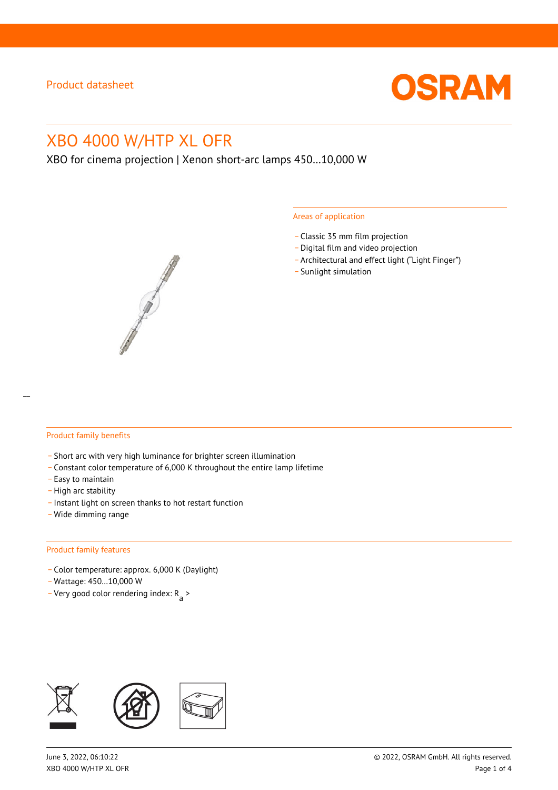

# XBO 4000 W/HTP XL OFR

XBO for cinema projection | Xenon short-arc lamps 450…10,000 W

#### Areas of application

- \_ Classic 35 mm film projection
- \_ Digital film and video projection
- \_ Architectural and effect light ("Light Finger")
- Sunlight simulation



#### Product family benefits

- \_ Short arc with very high luminance for brighter screen illumination
- \_ Constant color temperature of 6,000 K throughout the entire lamp lifetime
- \_ Easy to maintain
- High arc stability
- \_ Instant light on screen thanks to hot restart function
- \_ Wide dimming range

#### Product family features

- \_ Color temperature: approx. 6,000 K (Daylight)
- \_ Wattage: 450…10,000 W
- Very good color rendering index:  $R_{\text{a}}$  >

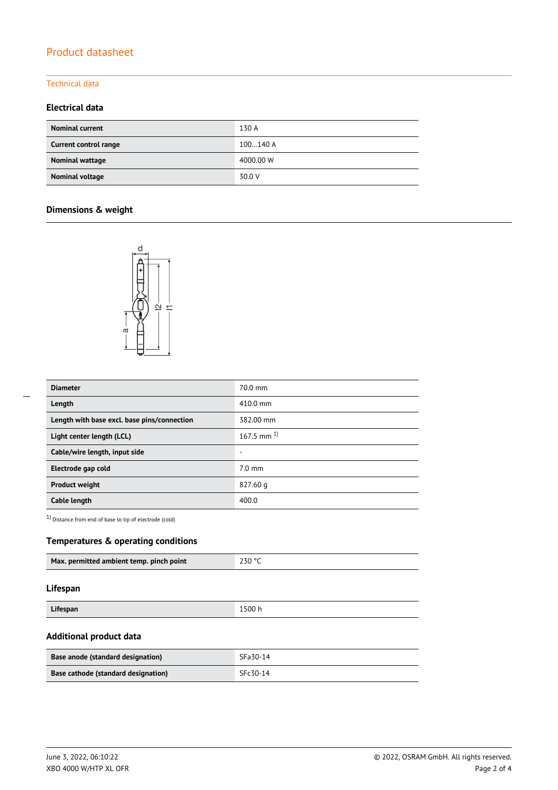# Product datasheet

### Technical data

### **Electrical data**

| <b>Nominal current</b> | 130 A     |
|------------------------|-----------|
| Current control range  | 100140 A  |
| Nominal wattage        | 4000.00 W |
| Nominal voltage        | 30.0 V    |

# **Dimensions & weight**



| <b>Diameter</b>                             | $70.0$ mm          |
|---------------------------------------------|--------------------|
| Length                                      | $410.0 \text{ mm}$ |
| Length with base excl. base pins/connection | 382.00 mm          |
| Light center length (LCL)                   | 167.5 mm $^{1}$    |
| Cable/wire length, input side               |                    |
| Electrode gap cold                          | $7.0 \text{ mm}$   |
| <b>Product weight</b>                       | 827.60 g           |
| Cable length                                | 400.0              |

1) Distance from end of base to tip of electrode (cold)

### **Temperatures & operating conditions**

| Max. permitted ambient temp. pinch point | 230 °C |
|------------------------------------------|--------|
|                                          |        |

#### **Lifespan**

# **Additional product data**

| Base anode (standard designation)   | SFa30-14 |
|-------------------------------------|----------|
| Base cathode (standard designation) | SFc30-14 |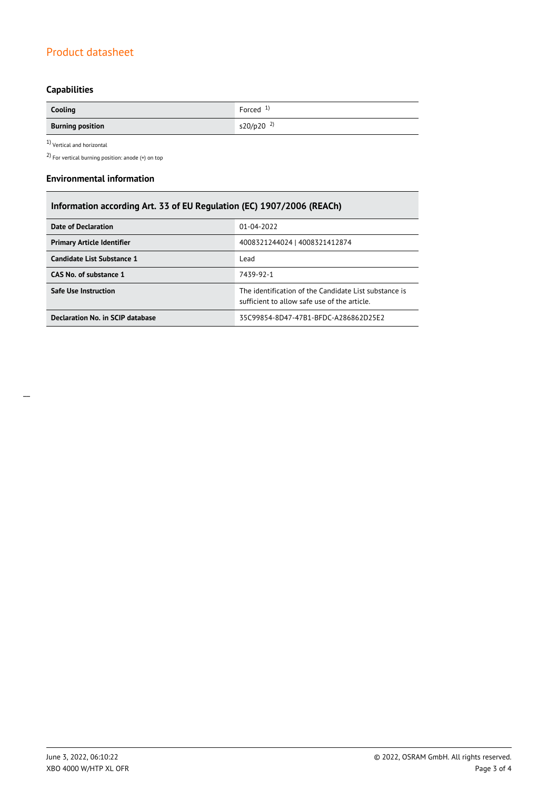# Product datasheet

# **Capabilities**

| Cooling                 | Forced $1$              |
|-------------------------|-------------------------|
| <b>Burning position</b> | $s20/p20$ <sup>2)</sup> |

1) Vertical and horizontal

2) For vertical burning position: anode (+) on top

#### **Environmental information**

| Information according Art. 33 of EU Regulation (EC) 1907/2006 (REACh) |                                                                                                       |  |  |  |
|-----------------------------------------------------------------------|-------------------------------------------------------------------------------------------------------|--|--|--|
| <b>Date of Declaration</b>                                            | 01-04-2022                                                                                            |  |  |  |
| <b>Primary Article Identifier</b>                                     | 4008321244024   4008321412874                                                                         |  |  |  |
| Candidate List Substance 1                                            | Lead                                                                                                  |  |  |  |
| CAS No. of substance 1                                                | 7439-92-1                                                                                             |  |  |  |
| Safe Use Instruction                                                  | The identification of the Candidate List substance is<br>sufficient to allow safe use of the article. |  |  |  |
| Declaration No. in SCIP database                                      | 35C99854-8D47-47B1-BFDC-A286862D25E2                                                                  |  |  |  |